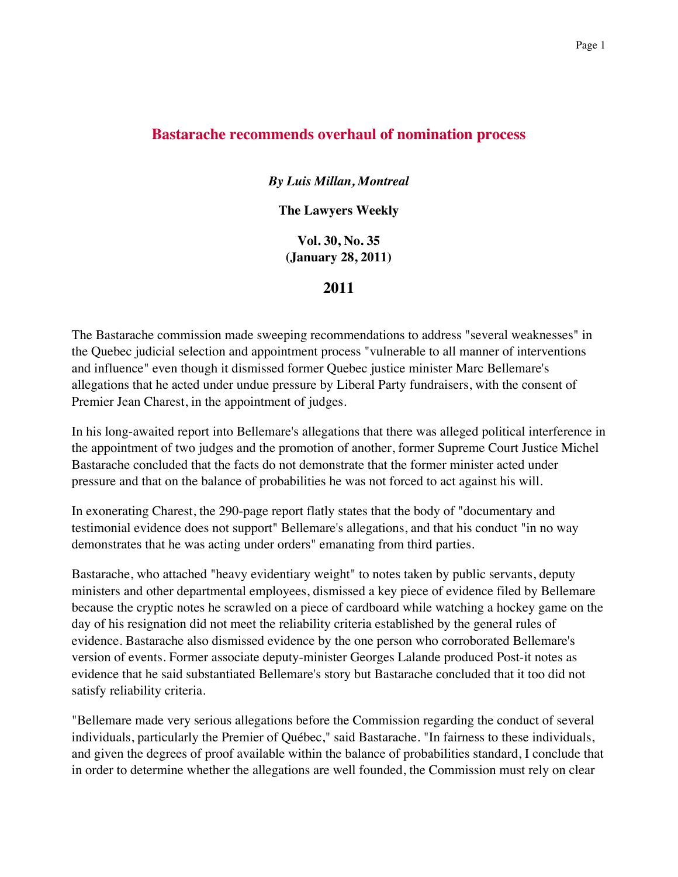## Page 1

## **Bastarache recommends overhaul of nomination process**

*By Luis Millan, Montreal*

**The Lawyers Weekly**

**Vol. 30, No. 35 (January 28, 2011)**

**2011**

The Bastarache commission made sweeping recommendations to address "several weaknesses" in the Quebec judicial selection and appointment process "vulnerable to all manner of interventions and influence" even though it dismissed former Quebec justice minister Marc Bellemare's allegations that he acted under undue pressure by Liberal Party fundraisers, with the consent of Premier Jean Charest, in the appointment of judges.

In his long-awaited report into Bellemare's allegations that there was alleged political interference in the appointment of two judges and the promotion of another, former Supreme Court Justice Michel Bastarache concluded that the facts do not demonstrate that the former minister acted under pressure and that on the balance of probabilities he was not forced to act against his will.

In exonerating Charest, the 290-page report flatly states that the body of "documentary and testimonial evidence does not support" Bellemare's allegations, and that his conduct "in no way demonstrates that he was acting under orders" emanating from third parties.

Bastarache, who attached "heavy evidentiary weight" to notes taken by public servants, deputy ministers and other departmental employees, dismissed a key piece of evidence filed by Bellemare because the cryptic notes he scrawled on a piece of cardboard while watching a hockey game on the day of his resignation did not meet the reliability criteria established by the general rules of evidence. Bastarache also dismissed evidence by the one person who corroborated Bellemare's version of events. Former associate deputy-minister Georges Lalande produced Post-it notes as evidence that he said substantiated Bellemare's story but Bastarache concluded that it too did not satisfy reliability criteria.

"Bellemare made very serious allegations before the Commission regarding the conduct of several individuals, particularly the Premier of Québec," said Bastarache. "In fairness to these individuals, and given the degrees of proof available within the balance of probabilities standard, I conclude that in order to determine whether the allegations are well founded, the Commission must rely on clear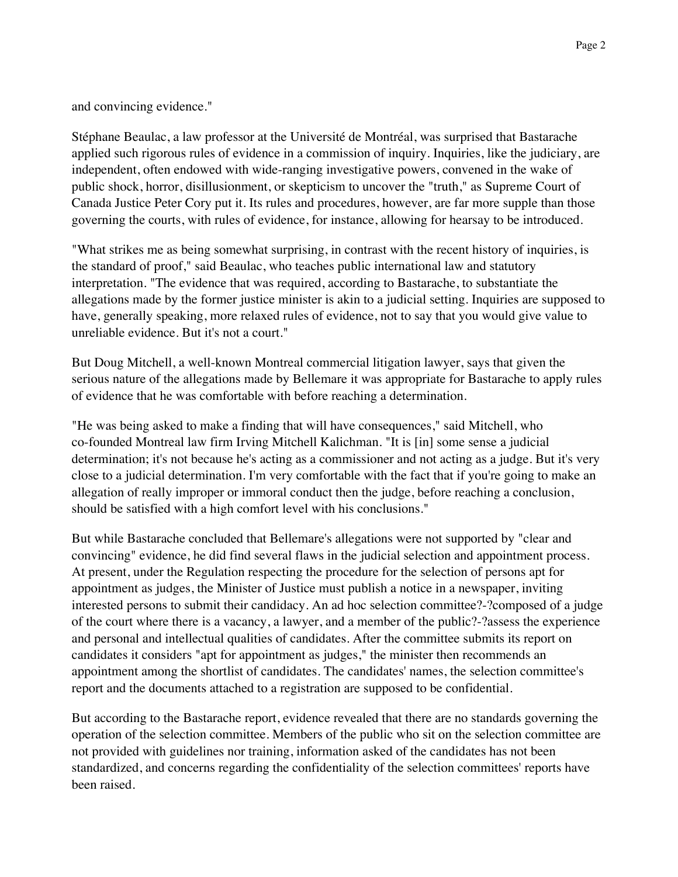and convincing evidence."

Stéphane Beaulac, a law professor at the Université de Montréal, was surprised that Bastarache applied such rigorous rules of evidence in a commission of inquiry. Inquiries, like the judiciary, are independent, often endowed with wide-ranging investigative powers, convened in the wake of public shock, horror, disillusionment, or skepticism to uncover the "truth," as Supreme Court of Canada Justice Peter Cory put it. Its rules and procedures, however, are far more supple than those governing the courts, with rules of evidence, for instance, allowing for hearsay to be introduced.

"What strikes me as being somewhat surprising, in contrast with the recent history of inquiries, is the standard of proof," said Beaulac, who teaches public international law and statutory interpretation. "The evidence that was required, according to Bastarache, to substantiate the allegations made by the former justice minister is akin to a judicial setting. Inquiries are supposed to have, generally speaking, more relaxed rules of evidence, not to say that you would give value to unreliable evidence. But it's not a court."

But Doug Mitchell, a well-known Montreal commercial litigation lawyer, says that given the serious nature of the allegations made by Bellemare it was appropriate for Bastarache to apply rules of evidence that he was comfortable with before reaching a determination.

"He was being asked to make a finding that will have consequences," said Mitchell, who co-founded Montreal law firm Irving Mitchell Kalichman. "It is [in] some sense a judicial determination; it's not because he's acting as a commissioner and not acting as a judge. But it's very close to a judicial determination. I'm very comfortable with the fact that if you're going to make an allegation of really improper or immoral conduct then the judge, before reaching a conclusion, should be satisfied with a high comfort level with his conclusions."

But while Bastarache concluded that Bellemare's allegations were not supported by "clear and convincing" evidence, he did find several flaws in the judicial selection and appointment process. At present, under the Regulation respecting the procedure for the selection of persons apt for appointment as judges, the Minister of Justice must publish a notice in a newspaper, inviting interested persons to submit their candidacy. An ad hoc selection committee?-?composed of a judge of the court where there is a vacancy, a lawyer, and a member of the public?-?assess the experience and personal and intellectual qualities of candidates. After the committee submits its report on candidates it considers "apt for appointment as judges," the minister then recommends an appointment among the shortlist of candidates. The candidates' names, the selection committee's report and the documents attached to a registration are supposed to be confidential.

But according to the Bastarache report, evidence revealed that there are no standards governing the operation of the selection committee. Members of the public who sit on the selection committee are not provided with guidelines nor training, information asked of the candidates has not been standardized, and concerns regarding the confidentiality of the selection committees' reports have been raised.